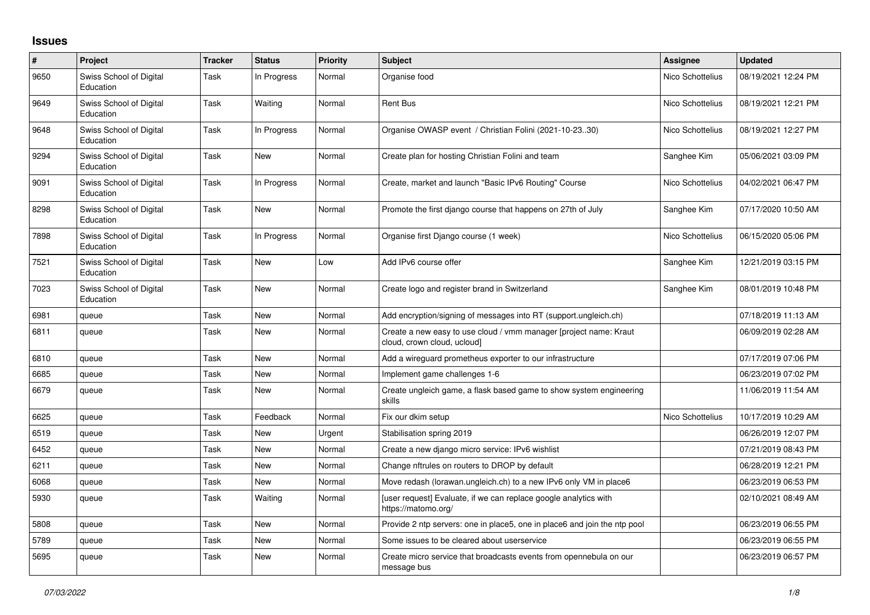## **Issues**

| $\vert$ # | Project                              | <b>Tracker</b> | <b>Status</b> | <b>Priority</b> | <b>Subject</b>                                                                                   | Assignee         | <b>Updated</b>      |
|-----------|--------------------------------------|----------------|---------------|-----------------|--------------------------------------------------------------------------------------------------|------------------|---------------------|
| 9650      | Swiss School of Digital<br>Education | Task           | In Progress   | Normal          | Organise food                                                                                    | Nico Schottelius | 08/19/2021 12:24 PM |
| 9649      | Swiss School of Digital<br>Education | Task           | Waiting       | Normal          | <b>Rent Bus</b>                                                                                  | Nico Schottelius | 08/19/2021 12:21 PM |
| 9648      | Swiss School of Digital<br>Education | Task           | In Progress   | Normal          | Organise OWASP event / Christian Folini (2021-10-2330)                                           | Nico Schottelius | 08/19/2021 12:27 PM |
| 9294      | Swiss School of Digital<br>Education | Task           | New           | Normal          | Create plan for hosting Christian Folini and team                                                | Sanghee Kim      | 05/06/2021 03:09 PM |
| 9091      | Swiss School of Digital<br>Education | Task           | In Progress   | Normal          | Create, market and launch "Basic IPv6 Routing" Course                                            | Nico Schottelius | 04/02/2021 06:47 PM |
| 8298      | Swiss School of Digital<br>Education | Task           | New           | Normal          | Promote the first django course that happens on 27th of July                                     | Sanghee Kim      | 07/17/2020 10:50 AM |
| 7898      | Swiss School of Digital<br>Education | Task           | In Progress   | Normal          | Organise first Django course (1 week)                                                            | Nico Schottelius | 06/15/2020 05:06 PM |
| 7521      | Swiss School of Digital<br>Education | Task           | <b>New</b>    | Low             | Add IPv6 course offer                                                                            | Sanghee Kim      | 12/21/2019 03:15 PM |
| 7023      | Swiss School of Digital<br>Education | Task           | New           | Normal          | Create logo and register brand in Switzerland                                                    | Sanghee Kim      | 08/01/2019 10:48 PM |
| 6981      | queue                                | Task           | New           | Normal          | Add encryption/signing of messages into RT (support.ungleich.ch)                                 |                  | 07/18/2019 11:13 AM |
| 6811      | queue                                | Task           | New           | Normal          | Create a new easy to use cloud / vmm manager [project name: Kraut<br>cloud, crown cloud, ucloud] |                  | 06/09/2019 02:28 AM |
| 6810      | queue                                | Task           | New           | Normal          | Add a wireguard prometheus exporter to our infrastructure                                        |                  | 07/17/2019 07:06 PM |
| 6685      | queue                                | Task           | <b>New</b>    | Normal          | Implement game challenges 1-6                                                                    |                  | 06/23/2019 07:02 PM |
| 6679      | queue                                | Task           | New           | Normal          | Create ungleich game, a flask based game to show system engineering<br>skills                    |                  | 11/06/2019 11:54 AM |
| 6625      | queue                                | Task           | Feedback      | Normal          | Fix our dkim setup                                                                               | Nico Schottelius | 10/17/2019 10:29 AM |
| 6519      | queue                                | Task           | New           | Urgent          | Stabilisation spring 2019                                                                        |                  | 06/26/2019 12:07 PM |
| 6452      | queue                                | Task           | New           | Normal          | Create a new django micro service: IPv6 wishlist                                                 |                  | 07/21/2019 08:43 PM |
| 6211      | queue                                | Task           | New           | Normal          | Change nftrules on routers to DROP by default                                                    |                  | 06/28/2019 12:21 PM |
| 6068      | queue                                | Task           | <b>New</b>    | Normal          | Move redash (lorawan.ungleich.ch) to a new IPv6 only VM in place6                                |                  | 06/23/2019 06:53 PM |
| 5930      | queue                                | Task           | Waiting       | Normal          | [user request] Evaluate, if we can replace google analytics with<br>https://matomo.org/          |                  | 02/10/2021 08:49 AM |
| 5808      | queue                                | Task           | New           | Normal          | Provide 2 ntp servers: one in place5, one in place6 and join the ntp pool                        |                  | 06/23/2019 06:55 PM |
| 5789      | queue                                | Task           | New           | Normal          | Some issues to be cleared about userservice                                                      |                  | 06/23/2019 06:55 PM |
| 5695      | queue                                | Task           | New           | Normal          | Create micro service that broadcasts events from opennebula on our<br>message bus                |                  | 06/23/2019 06:57 PM |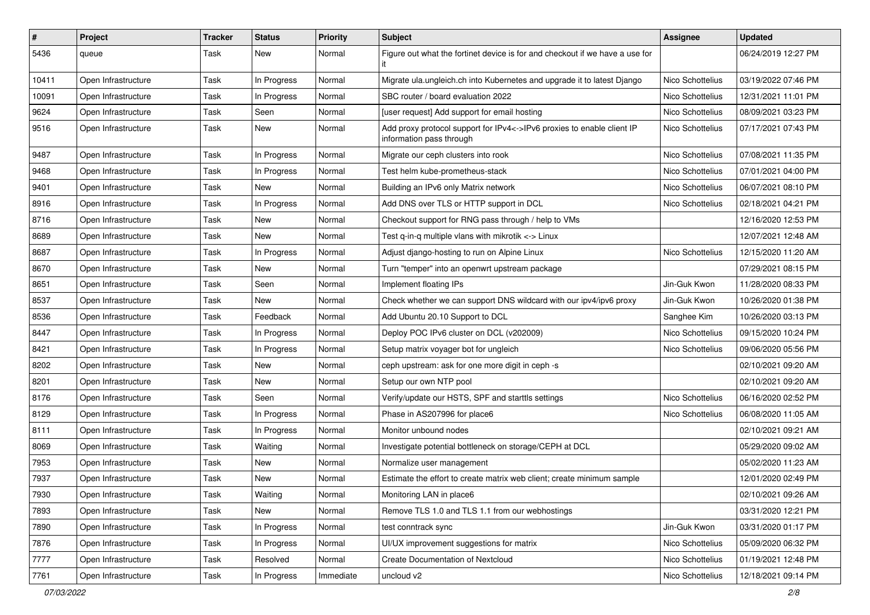| $\sharp$ | Project             | <b>Tracker</b> | <b>Status</b> | <b>Priority</b> | Subject                                                                                            | <b>Assignee</b>  | <b>Updated</b>      |
|----------|---------------------|----------------|---------------|-----------------|----------------------------------------------------------------------------------------------------|------------------|---------------------|
| 5436     | queue               | Task           | New           | Normal          | Figure out what the fortinet device is for and checkout if we have a use for                       |                  | 06/24/2019 12:27 PM |
| 10411    | Open Infrastructure | Task           | In Progress   | Normal          | Migrate ula.ungleich.ch into Kubernetes and upgrade it to latest Django                            | Nico Schottelius | 03/19/2022 07:46 PM |
| 10091    | Open Infrastructure | Task           | In Progress   | Normal          | SBC router / board evaluation 2022                                                                 | Nico Schottelius | 12/31/2021 11:01 PM |
| 9624     | Open Infrastructure | Task           | Seen          | Normal          | [user request] Add support for email hosting                                                       | Nico Schottelius | 08/09/2021 03:23 PM |
| 9516     | Open Infrastructure | Task           | New           | Normal          | Add proxy protocol support for IPv4<->IPv6 proxies to enable client IP<br>information pass through | Nico Schottelius | 07/17/2021 07:43 PM |
| 9487     | Open Infrastructure | Task           | In Progress   | Normal          | Migrate our ceph clusters into rook                                                                | Nico Schottelius | 07/08/2021 11:35 PM |
| 9468     | Open Infrastructure | Task           | In Progress   | Normal          | Test helm kube-prometheus-stack                                                                    | Nico Schottelius | 07/01/2021 04:00 PM |
| 9401     | Open Infrastructure | Task           | <b>New</b>    | Normal          | Building an IPv6 only Matrix network                                                               | Nico Schottelius | 06/07/2021 08:10 PM |
| 8916     | Open Infrastructure | Task           | In Progress   | Normal          | Add DNS over TLS or HTTP support in DCL                                                            | Nico Schottelius | 02/18/2021 04:21 PM |
| 8716     | Open Infrastructure | Task           | New           | Normal          | Checkout support for RNG pass through / help to VMs                                                |                  | 12/16/2020 12:53 PM |
| 8689     | Open Infrastructure | Task           | New           | Normal          | Test q-in-q multiple vlans with mikrotik <-> Linux                                                 |                  | 12/07/2021 12:48 AM |
| 8687     | Open Infrastructure | Task           | In Progress   | Normal          | Adjust django-hosting to run on Alpine Linux                                                       | Nico Schottelius | 12/15/2020 11:20 AM |
| 8670     | Open Infrastructure | Task           | New           | Normal          | Turn "temper" into an openwrt upstream package                                                     |                  | 07/29/2021 08:15 PM |
| 8651     | Open Infrastructure | Task           | Seen          | Normal          | Implement floating IPs                                                                             | Jin-Guk Kwon     | 11/28/2020 08:33 PM |
| 8537     | Open Infrastructure | Task           | New           | Normal          | Check whether we can support DNS wildcard with our ipv4/ipv6 proxy                                 | Jin-Guk Kwon     | 10/26/2020 01:38 PM |
| 8536     | Open Infrastructure | Task           | Feedback      | Normal          | Add Ubuntu 20.10 Support to DCL                                                                    | Sanghee Kim      | 10/26/2020 03:13 PM |
| 8447     | Open Infrastructure | Task           | In Progress   | Normal          | Deploy POC IPv6 cluster on DCL (v202009)                                                           | Nico Schottelius | 09/15/2020 10:24 PM |
| 8421     | Open Infrastructure | Task           | In Progress   | Normal          | Setup matrix voyager bot for ungleich                                                              | Nico Schottelius | 09/06/2020 05:56 PM |
| 8202     | Open Infrastructure | Task           | New           | Normal          | ceph upstream: ask for one more digit in ceph -s                                                   |                  | 02/10/2021 09:20 AM |
| 8201     | Open Infrastructure | Task           | New           | Normal          | Setup our own NTP pool                                                                             |                  | 02/10/2021 09:20 AM |
| 8176     | Open Infrastructure | Task           | Seen          | Normal          | Verify/update our HSTS, SPF and starttls settings                                                  | Nico Schottelius | 06/16/2020 02:52 PM |
| 8129     | Open Infrastructure | Task           | In Progress   | Normal          | Phase in AS207996 for place6                                                                       | Nico Schottelius | 06/08/2020 11:05 AM |
| 8111     | Open Infrastructure | Task           | In Progress   | Normal          | Monitor unbound nodes                                                                              |                  | 02/10/2021 09:21 AM |
| 8069     | Open Infrastructure | Task           | Waiting       | Normal          | Investigate potential bottleneck on storage/CEPH at DCL                                            |                  | 05/29/2020 09:02 AM |
| 7953     | Open Infrastructure | Task           | New           | Normal          | Normalize user management                                                                          |                  | 05/02/2020 11:23 AM |
| 7937     | Open Infrastructure | Task           | New           | Normal          | Estimate the effort to create matrix web client; create minimum sample                             |                  | 12/01/2020 02:49 PM |
| 7930     | Open Infrastructure | Task           | Waiting       | Normal          | Monitoring LAN in place6                                                                           |                  | 02/10/2021 09:26 AM |
| 7893     | Open Infrastructure | Task           | New           | Normal          | Remove TLS 1.0 and TLS 1.1 from our webhostings                                                    |                  | 03/31/2020 12:21 PM |
| 7890     | Open Infrastructure | Task           | In Progress   | Normal          | test conntrack sync                                                                                | Jin-Guk Kwon     | 03/31/2020 01:17 PM |
| 7876     | Open Infrastructure | Task           | In Progress   | Normal          | UI/UX improvement suggestions for matrix                                                           | Nico Schottelius | 05/09/2020 06:32 PM |
| 7777     | Open Infrastructure | Task           | Resolved      | Normal          | Create Documentation of Nextcloud                                                                  | Nico Schottelius | 01/19/2021 12:48 PM |
| 7761     | Open Infrastructure | Task           | In Progress   | Immediate       | uncloud v2                                                                                         | Nico Schottelius | 12/18/2021 09:14 PM |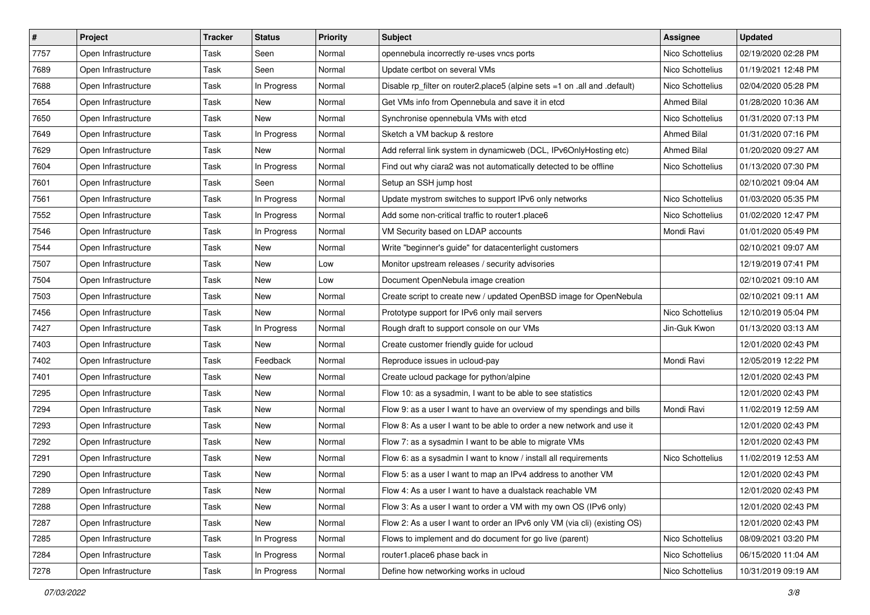| $\vert$ # | Project             | <b>Tracker</b> | <b>Status</b> | <b>Priority</b> | Subject                                                                   | <b>Assignee</b>    | <b>Updated</b>      |
|-----------|---------------------|----------------|---------------|-----------------|---------------------------------------------------------------------------|--------------------|---------------------|
| 7757      | Open Infrastructure | Task           | Seen          | Normal          | opennebula incorrectly re-uses vncs ports                                 | Nico Schottelius   | 02/19/2020 02:28 PM |
| 7689      | Open Infrastructure | Task           | Seen          | Normal          | Update certbot on several VMs                                             | Nico Schottelius   | 01/19/2021 12:48 PM |
| 7688      | Open Infrastructure | Task           | In Progress   | Normal          | Disable rp_filter on router2.place5 (alpine sets =1 on .all and .default) | Nico Schottelius   | 02/04/2020 05:28 PM |
| 7654      | Open Infrastructure | Task           | New           | Normal          | Get VMs info from Opennebula and save it in etcd                          | <b>Ahmed Bilal</b> | 01/28/2020 10:36 AM |
| 7650      | Open Infrastructure | Task           | New           | Normal          | Synchronise opennebula VMs with etcd                                      | Nico Schottelius   | 01/31/2020 07:13 PM |
| 7649      | Open Infrastructure | Task           | In Progress   | Normal          | Sketch a VM backup & restore                                              | <b>Ahmed Bilal</b> | 01/31/2020 07:16 PM |
| 7629      | Open Infrastructure | Task           | New           | Normal          | Add referral link system in dynamicweb (DCL, IPv6OnlyHosting etc)         | Ahmed Bilal        | 01/20/2020 09:27 AM |
| 7604      | Open Infrastructure | Task           | In Progress   | Normal          | Find out why ciara2 was not automatically detected to be offline          | Nico Schottelius   | 01/13/2020 07:30 PM |
| 7601      | Open Infrastructure | Task           | Seen          | Normal          | Setup an SSH jump host                                                    |                    | 02/10/2021 09:04 AM |
| 7561      | Open Infrastructure | Task           | In Progress   | Normal          | Update mystrom switches to support IPv6 only networks                     | Nico Schottelius   | 01/03/2020 05:35 PM |
| 7552      | Open Infrastructure | Task           | In Progress   | Normal          | Add some non-critical traffic to router1.place6                           | Nico Schottelius   | 01/02/2020 12:47 PM |
| 7546      | Open Infrastructure | Task           | In Progress   | Normal          | VM Security based on LDAP accounts                                        | Mondi Ravi         | 01/01/2020 05:49 PM |
| 7544      | Open Infrastructure | Task           | New           | Normal          | Write "beginner's guide" for datacenterlight customers                    |                    | 02/10/2021 09:07 AM |
| 7507      | Open Infrastructure | Task           | New           | Low             | Monitor upstream releases / security advisories                           |                    | 12/19/2019 07:41 PM |
| 7504      | Open Infrastructure | Task           | New           | Low             | Document OpenNebula image creation                                        |                    | 02/10/2021 09:10 AM |
| 7503      | Open Infrastructure | Task           | New           | Normal          | Create script to create new / updated OpenBSD image for OpenNebula        |                    | 02/10/2021 09:11 AM |
| 7456      | Open Infrastructure | Task           | New           | Normal          | Prototype support for IPv6 only mail servers                              | Nico Schottelius   | 12/10/2019 05:04 PM |
| 7427      | Open Infrastructure | Task           | In Progress   | Normal          | Rough draft to support console on our VMs                                 | Jin-Guk Kwon       | 01/13/2020 03:13 AM |
| 7403      | Open Infrastructure | Task           | New           | Normal          | Create customer friendly guide for ucloud                                 |                    | 12/01/2020 02:43 PM |
| 7402      | Open Infrastructure | Task           | Feedback      | Normal          | Reproduce issues in ucloud-pay                                            | Mondi Ravi         | 12/05/2019 12:22 PM |
| 7401      | Open Infrastructure | Task           | New           | Normal          | Create ucloud package for python/alpine                                   |                    | 12/01/2020 02:43 PM |
| 7295      | Open Infrastructure | Task           | New           | Normal          | Flow 10: as a sysadmin, I want to be able to see statistics               |                    | 12/01/2020 02:43 PM |
| 7294      | Open Infrastructure | Task           | New           | Normal          | Flow 9: as a user I want to have an overview of my spendings and bills    | Mondi Ravi         | 11/02/2019 12:59 AM |
| 7293      | Open Infrastructure | Task           | New           | Normal          | Flow 8: As a user I want to be able to order a new network and use it     |                    | 12/01/2020 02:43 PM |
| 7292      | Open Infrastructure | Task           | New           | Normal          | Flow 7: as a sysadmin I want to be able to migrate VMs                    |                    | 12/01/2020 02:43 PM |
| 7291      | Open Infrastructure | Task           | New           | Normal          | Flow 6: as a sysadmin I want to know / install all requirements           | Nico Schottelius   | 11/02/2019 12:53 AM |
| 7290      | Open Infrastructure | Task           | New           | Normal          | Flow 5: as a user I want to map an IPv4 address to another VM             |                    | 12/01/2020 02:43 PM |
| 7289      | Open Infrastructure | Task           | New           | Normal          | Flow 4: As a user I want to have a dualstack reachable VM                 |                    | 12/01/2020 02:43 PM |
| 7288      | Open Infrastructure | Task           | New           | Normal          | Flow 3: As a user I want to order a VM with my own OS (IPv6 only)         |                    | 12/01/2020 02:43 PM |
| 7287      | Open Infrastructure | Task           | New           | Normal          | Flow 2: As a user I want to order an IPv6 only VM (via cli) (existing OS) |                    | 12/01/2020 02:43 PM |
| 7285      | Open Infrastructure | Task           | In Progress   | Normal          | Flows to implement and do document for go live (parent)                   | Nico Schottelius   | 08/09/2021 03:20 PM |
| 7284      | Open Infrastructure | Task           | In Progress   | Normal          | router1.place6 phase back in                                              | Nico Schottelius   | 06/15/2020 11:04 AM |
| 7278      | Open Infrastructure | Task           | In Progress   | Normal          | Define how networking works in ucloud                                     | Nico Schottelius   | 10/31/2019 09:19 AM |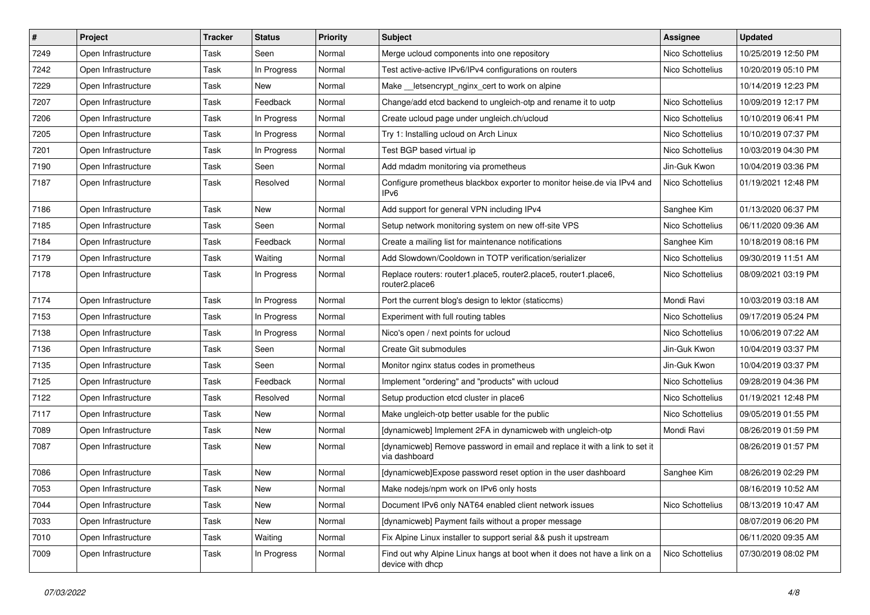| $\vert$ # | Project             | <b>Tracker</b> | <b>Status</b> | <b>Priority</b> | Subject                                                                                       | <b>Assignee</b>  | <b>Updated</b>      |
|-----------|---------------------|----------------|---------------|-----------------|-----------------------------------------------------------------------------------------------|------------------|---------------------|
| 7249      | Open Infrastructure | Task           | Seen          | Normal          | Merge ucloud components into one repository                                                   | Nico Schottelius | 10/25/2019 12:50 PM |
| 7242      | Open Infrastructure | Task           | In Progress   | Normal          | Test active-active IPv6/IPv4 configurations on routers                                        | Nico Schottelius | 10/20/2019 05:10 PM |
| 7229      | Open Infrastructure | Task           | New           | Normal          | Make __ letsencrypt_nginx_cert to work on alpine                                              |                  | 10/14/2019 12:23 PM |
| 7207      | Open Infrastructure | Task           | Feedback      | Normal          | Change/add etcd backend to ungleich-otp and rename it to uotp                                 | Nico Schottelius | 10/09/2019 12:17 PM |
| 7206      | Open Infrastructure | Task           | In Progress   | Normal          | Create ucloud page under ungleich.ch/ucloud                                                   | Nico Schottelius | 10/10/2019 06:41 PM |
| 7205      | Open Infrastructure | Task           | In Progress   | Normal          | Try 1: Installing ucloud on Arch Linux                                                        | Nico Schottelius | 10/10/2019 07:37 PM |
| 7201      | Open Infrastructure | Task           | In Progress   | Normal          | Test BGP based virtual ip                                                                     | Nico Schottelius | 10/03/2019 04:30 PM |
| 7190      | Open Infrastructure | Task           | Seen          | Normal          | Add mdadm monitoring via prometheus                                                           | Jin-Guk Kwon     | 10/04/2019 03:36 PM |
| 7187      | Open Infrastructure | Task           | Resolved      | Normal          | Configure prometheus blackbox exporter to monitor heise.de via IPv4 and<br>IPv6               | Nico Schottelius | 01/19/2021 12:48 PM |
| 7186      | Open Infrastructure | Task           | New           | Normal          | Add support for general VPN including IPv4                                                    | Sanghee Kim      | 01/13/2020 06:37 PM |
| 7185      | Open Infrastructure | Task           | Seen          | Normal          | Setup network monitoring system on new off-site VPS                                           | Nico Schottelius | 06/11/2020 09:36 AM |
| 7184      | Open Infrastructure | Task           | Feedback      | Normal          | Create a mailing list for maintenance notifications                                           | Sanghee Kim      | 10/18/2019 08:16 PM |
| 7179      | Open Infrastructure | Task           | Waiting       | Normal          | Add Slowdown/Cooldown in TOTP verification/serializer                                         | Nico Schottelius | 09/30/2019 11:51 AM |
| 7178      | Open Infrastructure | Task           | In Progress   | Normal          | Replace routers: router1.place5, router2.place5, router1.place6,<br>router2.place6            | Nico Schottelius | 08/09/2021 03:19 PM |
| 7174      | Open Infrastructure | Task           | In Progress   | Normal          | Port the current blog's design to lektor (staticcms)                                          | Mondi Ravi       | 10/03/2019 03:18 AM |
| 7153      | Open Infrastructure | Task           | In Progress   | Normal          | Experiment with full routing tables                                                           | Nico Schottelius | 09/17/2019 05:24 PM |
| 7138      | Open Infrastructure | Task           | In Progress   | Normal          | Nico's open / next points for ucloud                                                          | Nico Schottelius | 10/06/2019 07:22 AM |
| 7136      | Open Infrastructure | Task           | Seen          | Normal          | Create Git submodules                                                                         | Jin-Guk Kwon     | 10/04/2019 03:37 PM |
| 7135      | Open Infrastructure | Task           | Seen          | Normal          | Monitor nginx status codes in prometheus                                                      | Jin-Guk Kwon     | 10/04/2019 03:37 PM |
| 7125      | Open Infrastructure | Task           | Feedback      | Normal          | Implement "ordering" and "products" with ucloud                                               | Nico Schottelius | 09/28/2019 04:36 PM |
| 7122      | Open Infrastructure | Task           | Resolved      | Normal          | Setup production etcd cluster in place6                                                       | Nico Schottelius | 01/19/2021 12:48 PM |
| 7117      | Open Infrastructure | Task           | New           | Normal          | Make ungleich-otp better usable for the public                                                | Nico Schottelius | 09/05/2019 01:55 PM |
| 7089      | Open Infrastructure | Task           | New           | Normal          | [dynamicweb] Implement 2FA in dynamicweb with ungleich-otp                                    | Mondi Ravi       | 08/26/2019 01:59 PM |
| 7087      | Open Infrastructure | Task           | New           | Normal          | [dynamicweb] Remove password in email and replace it with a link to set it<br>via dashboard   |                  | 08/26/2019 01:57 PM |
| 7086      | Open Infrastructure | Task           | New           | Normal          | [dynamicweb]Expose password reset option in the user dashboard                                | Sanghee Kim      | 08/26/2019 02:29 PM |
| 7053      | Open Infrastructure | Task           | New           | Normal          | Make nodejs/npm work on IPv6 only hosts                                                       |                  | 08/16/2019 10:52 AM |
| 7044      | Open Infrastructure | Task           | New           | Normal          | Document IPv6 only NAT64 enabled client network issues                                        | Nico Schottelius | 08/13/2019 10:47 AM |
| 7033      | Open Infrastructure | Task           | New           | Normal          | [dynamicweb] Payment fails without a proper message                                           |                  | 08/07/2019 06:20 PM |
| 7010      | Open Infrastructure | Task           | Waiting       | Normal          | Fix Alpine Linux installer to support serial && push it upstream                              |                  | 06/11/2020 09:35 AM |
| 7009      | Open Infrastructure | Task           | In Progress   | Normal          | Find out why Alpine Linux hangs at boot when it does not have a link on a<br>device with dhcp | Nico Schottelius | 07/30/2019 08:02 PM |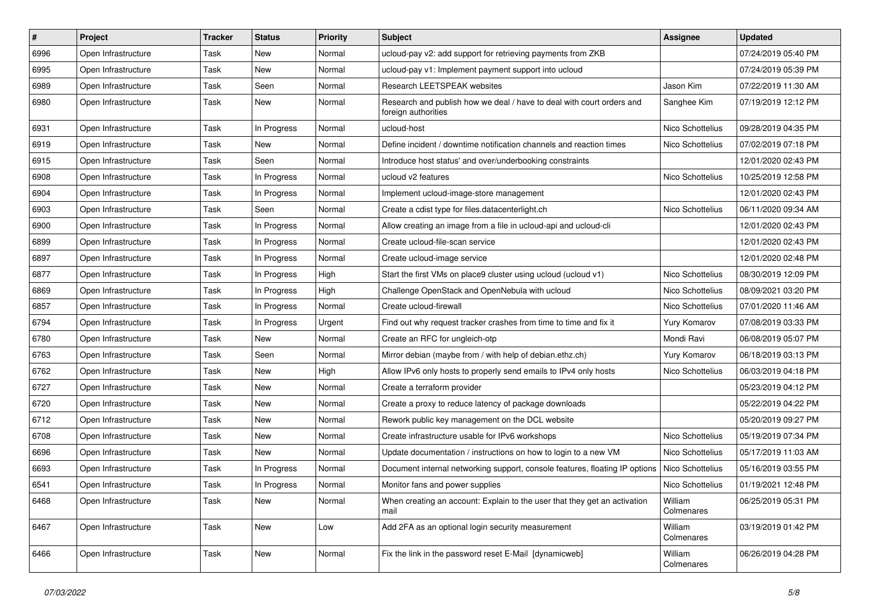| $\vert$ # | Project             | <b>Tracker</b> | <b>Status</b> | <b>Priority</b> | Subject                                                                                      | <b>Assignee</b>       | <b>Updated</b>      |
|-----------|---------------------|----------------|---------------|-----------------|----------------------------------------------------------------------------------------------|-----------------------|---------------------|
| 6996      | Open Infrastructure | Task           | New           | Normal          | ucloud-pay v2: add support for retrieving payments from ZKB                                  |                       | 07/24/2019 05:40 PM |
| 6995      | Open Infrastructure | Task           | New           | Normal          | ucloud-pay v1: Implement payment support into ucloud                                         |                       | 07/24/2019 05:39 PM |
| 6989      | Open Infrastructure | Task           | Seen          | Normal          | Research LEETSPEAK websites                                                                  | Jason Kim             | 07/22/2019 11:30 AM |
| 6980      | Open Infrastructure | Task           | New           | Normal          | Research and publish how we deal / have to deal with court orders and<br>foreign authorities | Sanghee Kim           | 07/19/2019 12:12 PM |
| 6931      | Open Infrastructure | Task           | In Progress   | Normal          | ucloud-host                                                                                  | Nico Schottelius      | 09/28/2019 04:35 PM |
| 6919      | Open Infrastructure | Task           | New           | Normal          | Define incident / downtime notification channels and reaction times                          | Nico Schottelius      | 07/02/2019 07:18 PM |
| 6915      | Open Infrastructure | Task           | Seen          | Normal          | Introduce host status' and over/underbooking constraints                                     |                       | 12/01/2020 02:43 PM |
| 6908      | Open Infrastructure | Task           | In Progress   | Normal          | ucloud v2 features                                                                           | Nico Schottelius      | 10/25/2019 12:58 PM |
| 6904      | Open Infrastructure | Task           | In Progress   | Normal          | Implement ucloud-image-store management                                                      |                       | 12/01/2020 02:43 PM |
| 6903      | Open Infrastructure | Task           | Seen          | Normal          | Create a cdist type for files.datacenterlight.ch                                             | Nico Schottelius      | 06/11/2020 09:34 AM |
| 6900      | Open Infrastructure | Task           | In Progress   | Normal          | Allow creating an image from a file in ucloud-api and ucloud-cli                             |                       | 12/01/2020 02:43 PM |
| 6899      | Open Infrastructure | Task           | In Progress   | Normal          | Create ucloud-file-scan service                                                              |                       | 12/01/2020 02:43 PM |
| 6897      | Open Infrastructure | Task           | In Progress   | Normal          | Create ucloud-image service                                                                  |                       | 12/01/2020 02:48 PM |
| 6877      | Open Infrastructure | Task           | In Progress   | High            | Start the first VMs on place9 cluster using ucloud (ucloud v1)                               | Nico Schottelius      | 08/30/2019 12:09 PM |
| 6869      | Open Infrastructure | Task           | In Progress   | High            | Challenge OpenStack and OpenNebula with ucloud                                               | Nico Schottelius      | 08/09/2021 03:20 PM |
| 6857      | Open Infrastructure | Task           | In Progress   | Normal          | Create ucloud-firewall                                                                       | Nico Schottelius      | 07/01/2020 11:46 AM |
| 6794      | Open Infrastructure | Task           | In Progress   | Urgent          | Find out why request tracker crashes from time to time and fix it                            | Yury Komarov          | 07/08/2019 03:33 PM |
| 6780      | Open Infrastructure | Task           | New           | Normal          | Create an RFC for ungleich-otp                                                               | Mondi Ravi            | 06/08/2019 05:07 PM |
| 6763      | Open Infrastructure | Task           | Seen          | Normal          | Mirror debian (maybe from / with help of debian.ethz.ch)                                     | Yury Komarov          | 06/18/2019 03:13 PM |
| 6762      | Open Infrastructure | Task           | New           | High            | Allow IPv6 only hosts to properly send emails to IPv4 only hosts                             | Nico Schottelius      | 06/03/2019 04:18 PM |
| 6727      | Open Infrastructure | Task           | New           | Normal          | Create a terraform provider                                                                  |                       | 05/23/2019 04:12 PM |
| 6720      | Open Infrastructure | Task           | New           | Normal          | Create a proxy to reduce latency of package downloads                                        |                       | 05/22/2019 04:22 PM |
| 6712      | Open Infrastructure | Task           | New           | Normal          | Rework public key management on the DCL website                                              |                       | 05/20/2019 09:27 PM |
| 6708      | Open Infrastructure | Task           | New           | Normal          | Create infrastructure usable for IPv6 workshops                                              | Nico Schottelius      | 05/19/2019 07:34 PM |
| 6696      | Open Infrastructure | Task           | New           | Normal          | Update documentation / instructions on how to login to a new VM                              | Nico Schottelius      | 05/17/2019 11:03 AM |
| 6693      | Open Infrastructure | Task           | In Progress   | Normal          | Document internal networking support, console features, floating IP options                  | Nico Schottelius      | 05/16/2019 03:55 PM |
| 6541      | Open Infrastructure | Task           | In Progress   | Normal          | Monitor fans and power supplies                                                              | Nico Schottelius      | 01/19/2021 12:48 PM |
| 6468      | Open Infrastructure | Task           | New           | Normal          | When creating an account: Explain to the user that they get an activation<br>mail            | William<br>Colmenares | 06/25/2019 05:31 PM |
| 6467      | Open Infrastructure | Task           | New           | Low             | Add 2FA as an optional login security measurement                                            | William<br>Colmenares | 03/19/2019 01:42 PM |
| 6466      | Open Infrastructure | Task           | New           | Normal          | Fix the link in the password reset E-Mail [dynamicweb]                                       | William<br>Colmenares | 06/26/2019 04:28 PM |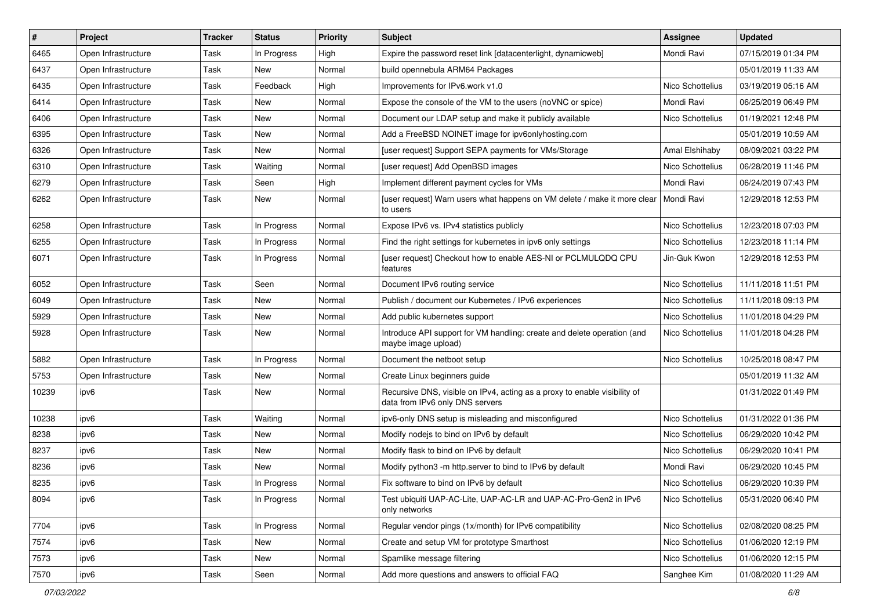| $\vert$ # | Project             | <b>Tracker</b> | <b>Status</b> | <b>Priority</b> | Subject                                                                                                      | <b>Assignee</b>  | <b>Updated</b>      |
|-----------|---------------------|----------------|---------------|-----------------|--------------------------------------------------------------------------------------------------------------|------------------|---------------------|
| 6465      | Open Infrastructure | Task           | In Progress   | High            | Expire the password reset link [datacenterlight, dynamicweb]                                                 | Mondi Ravi       | 07/15/2019 01:34 PM |
| 6437      | Open Infrastructure | Task           | <b>New</b>    | Normal          | build opennebula ARM64 Packages                                                                              |                  | 05/01/2019 11:33 AM |
| 6435      | Open Infrastructure | Task           | Feedback      | High            | Improvements for IPv6.work v1.0                                                                              | Nico Schottelius | 03/19/2019 05:16 AM |
| 6414      | Open Infrastructure | Task           | New           | Normal          | Expose the console of the VM to the users (noVNC or spice)                                                   | Mondi Ravi       | 06/25/2019 06:49 PM |
| 6406      | Open Infrastructure | Task           | New           | Normal          | Document our LDAP setup and make it publicly available                                                       | Nico Schottelius | 01/19/2021 12:48 PM |
| 6395      | Open Infrastructure | Task           | New           | Normal          | Add a FreeBSD NOINET image for ipv6onlyhosting.com                                                           |                  | 05/01/2019 10:59 AM |
| 6326      | Open Infrastructure | Task           | New           | Normal          | [user request] Support SEPA payments for VMs/Storage                                                         | Amal Elshihaby   | 08/09/2021 03:22 PM |
| 6310      | Open Infrastructure | Task           | Waiting       | Normal          | [user request] Add OpenBSD images                                                                            | Nico Schottelius | 06/28/2019 11:46 PM |
| 6279      | Open Infrastructure | Task           | Seen          | High            | Implement different payment cycles for VMs                                                                   | Mondi Ravi       | 06/24/2019 07:43 PM |
| 6262      | Open Infrastructure | Task           | New           | Normal          | [user request] Warn users what happens on VM delete / make it more clear   Mondi Ravi<br>to users            |                  | 12/29/2018 12:53 PM |
| 6258      | Open Infrastructure | Task           | In Progress   | Normal          | Expose IPv6 vs. IPv4 statistics publicly                                                                     | Nico Schottelius | 12/23/2018 07:03 PM |
| 6255      | Open Infrastructure | Task           | In Progress   | Normal          | Find the right settings for kubernetes in ipv6 only settings                                                 | Nico Schottelius | 12/23/2018 11:14 PM |
| 6071      | Open Infrastructure | Task           | In Progress   | Normal          | [user request] Checkout how to enable AES-NI or PCLMULQDQ CPU<br>features                                    | Jin-Guk Kwon     | 12/29/2018 12:53 PM |
| 6052      | Open Infrastructure | Task           | Seen          | Normal          | Document IPv6 routing service                                                                                | Nico Schottelius | 11/11/2018 11:51 PM |
| 6049      | Open Infrastructure | Task           | New           | Normal          | Publish / document our Kubernetes / IPv6 experiences                                                         | Nico Schottelius | 11/11/2018 09:13 PM |
| 5929      | Open Infrastructure | Task           | New           | Normal          | Add public kubernetes support                                                                                | Nico Schottelius | 11/01/2018 04:29 PM |
| 5928      | Open Infrastructure | Task           | New           | Normal          | Introduce API support for VM handling: create and delete operation (and<br>maybe image upload)               | Nico Schottelius | 11/01/2018 04:28 PM |
| 5882      | Open Infrastructure | Task           | In Progress   | Normal          | Document the netboot setup                                                                                   | Nico Schottelius | 10/25/2018 08:47 PM |
| 5753      | Open Infrastructure | Task           | New           | Normal          | Create Linux beginners guide                                                                                 |                  | 05/01/2019 11:32 AM |
| 10239     | ipv6                | Task           | New           | Normal          | Recursive DNS, visible on IPv4, acting as a proxy to enable visibility of<br>data from IPv6 only DNS servers |                  | 01/31/2022 01:49 PM |
| 10238     | ipv6                | Task           | Waiting       | Normal          | ipv6-only DNS setup is misleading and misconfigured                                                          | Nico Schottelius | 01/31/2022 01:36 PM |
| 8238      | ipv6                | Task           | New           | Normal          | Modify nodejs to bind on IPv6 by default                                                                     | Nico Schottelius | 06/29/2020 10:42 PM |
| 8237      | ipv6                | Task           | New           | Normal          | Modify flask to bind on IPv6 by default                                                                      | Nico Schottelius | 06/29/2020 10:41 PM |
| 8236      | ipv6                | Task           | New           | Normal          | Modify python3 -m http.server to bind to IPv6 by default                                                     | Mondi Ravi       | 06/29/2020 10:45 PM |
| 8235      | ipv6                | Task           | In Progress   | Normal          | Fix software to bind on IPv6 by default                                                                      | Nico Schottelius | 06/29/2020 10:39 PM |
| 8094      | ipv6                | Task           | In Progress   | Normal          | Test ubiquiti UAP-AC-Lite, UAP-AC-LR and UAP-AC-Pro-Gen2 in IPv6<br>only networks                            | Nico Schottelius | 05/31/2020 06:40 PM |
| 7704      | ipv6                | Task           | In Progress   | Normal          | Regular vendor pings (1x/month) for IPv6 compatibility                                                       | Nico Schottelius | 02/08/2020 08:25 PM |
| 7574      | ipv6                | Task           | New           | Normal          | Create and setup VM for prototype Smarthost                                                                  | Nico Schottelius | 01/06/2020 12:19 PM |
| 7573      | ipv6                | Task           | New           | Normal          | Spamlike message filtering                                                                                   | Nico Schottelius | 01/06/2020 12:15 PM |
| 7570      | ipv6                | Task           | Seen          | Normal          | Add more questions and answers to official FAQ                                                               | Sanghee Kim      | 01/08/2020 11:29 AM |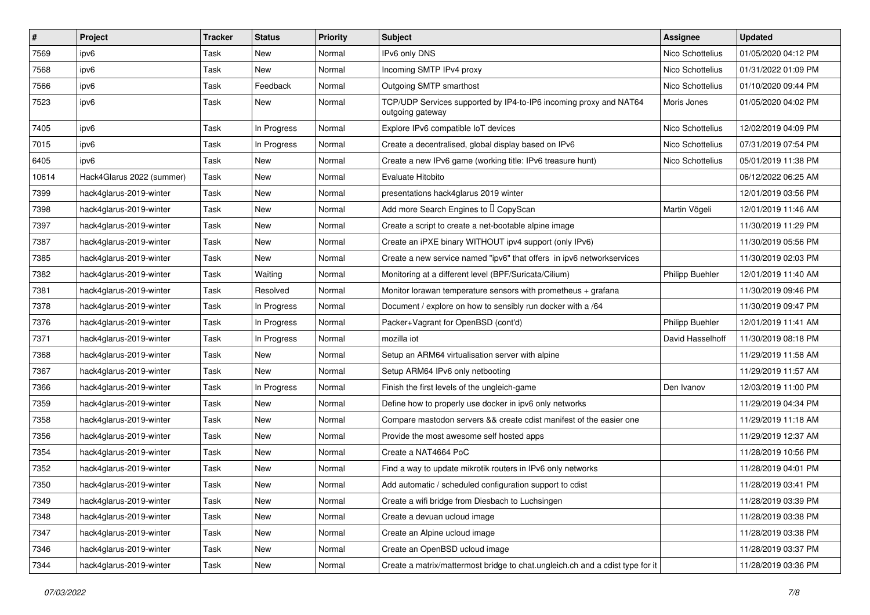| $\pmb{\#}$ | Project                   | <b>Tracker</b> | <b>Status</b> | <b>Priority</b> | <b>Subject</b>                                                                        | <b>Assignee</b>        | <b>Updated</b>      |
|------------|---------------------------|----------------|---------------|-----------------|---------------------------------------------------------------------------------------|------------------------|---------------------|
| 7569       | ipv6                      | Task           | <b>New</b>    | Normal          | IPv6 only DNS                                                                         | Nico Schottelius       | 01/05/2020 04:12 PM |
| 7568       | ipv6                      | Task           | <b>New</b>    | Normal          | Incoming SMTP IPv4 proxy                                                              | Nico Schottelius       | 01/31/2022 01:09 PM |
| 7566       | ipv6                      | Task           | Feedback      | Normal          | Outgoing SMTP smarthost                                                               | Nico Schottelius       | 01/10/2020 09:44 PM |
| 7523       | ipv6                      | Task           | New           | Normal          | TCP/UDP Services supported by IP4-to-IP6 incoming proxy and NAT64<br>outgoing gateway | Moris Jones            | 01/05/2020 04:02 PM |
| 7405       | ipv6                      | Task           | In Progress   | Normal          | Explore IPv6 compatible IoT devices                                                   | Nico Schottelius       | 12/02/2019 04:09 PM |
| 7015       | ipv6                      | Task           | In Progress   | Normal          | Create a decentralised, global display based on IPv6                                  | Nico Schottelius       | 07/31/2019 07:54 PM |
| 6405       | ipv6                      | Task           | New           | Normal          | Create a new IPv6 game (working title: IPv6 treasure hunt)                            | Nico Schottelius       | 05/01/2019 11:38 PM |
| 10614      | Hack4Glarus 2022 (summer) | Task           | <b>New</b>    | Normal          | Evaluate Hitobito                                                                     |                        | 06/12/2022 06:25 AM |
| 7399       | hack4glarus-2019-winter   | <b>Task</b>    | <b>New</b>    | Normal          | presentations hack4glarus 2019 winter                                                 |                        | 12/01/2019 03:56 PM |
| 7398       | hack4glarus-2019-winter   | Task           | <b>New</b>    | Normal          | Add more Search Engines to I CopyScan                                                 | Martin Vögeli          | 12/01/2019 11:46 AM |
| 7397       | hack4glarus-2019-winter   | Task           | <b>New</b>    | Normal          | Create a script to create a net-bootable alpine image                                 |                        | 11/30/2019 11:29 PM |
| 7387       | hack4glarus-2019-winter   | <b>Task</b>    | <b>New</b>    | Normal          | Create an iPXE binary WITHOUT ipv4 support (only IPv6)                                |                        | 11/30/2019 05:56 PM |
| 7385       | hack4glarus-2019-winter   | Task           | New           | Normal          | Create a new service named "ipv6" that offers in ipv6 networkservices                 |                        | 11/30/2019 02:03 PM |
| 7382       | hack4glarus-2019-winter   | Task           | Waiting       | Normal          | Monitoring at a different level (BPF/Suricata/Cilium)                                 | <b>Philipp Buehler</b> | 12/01/2019 11:40 AM |
| 7381       | hack4glarus-2019-winter   | Task           | Resolved      | Normal          | Monitor lorawan temperature sensors with prometheus + grafana                         |                        | 11/30/2019 09:46 PM |
| 7378       | hack4glarus-2019-winter   | Task           | In Progress   | Normal          | Document / explore on how to sensibly run docker with a /64                           |                        | 11/30/2019 09:47 PM |
| 7376       | hack4glarus-2019-winter   | Task           | In Progress   | Normal          | Packer+Vagrant for OpenBSD (cont'd)                                                   | Philipp Buehler        | 12/01/2019 11:41 AM |
| 7371       | hack4glarus-2019-winter   | Task           | In Progress   | Normal          | mozilla iot                                                                           | David Hasselhoff       | 11/30/2019 08:18 PM |
| 7368       | hack4glarus-2019-winter   | Task           | <b>New</b>    | Normal          | Setup an ARM64 virtualisation server with alpine                                      |                        | 11/29/2019 11:58 AM |
| 7367       | hack4glarus-2019-winter   | Task           | New           | Normal          | Setup ARM64 IPv6 only netbooting                                                      |                        | 11/29/2019 11:57 AM |
| 7366       | hack4glarus-2019-winter   | Task           | In Progress   | Normal          | Finish the first levels of the ungleich-game                                          | Den Ivanov             | 12/03/2019 11:00 PM |
| 7359       | hack4glarus-2019-winter   | Task           | <b>New</b>    | Normal          | Define how to properly use docker in ipv6 only networks                               |                        | 11/29/2019 04:34 PM |
| 7358       | hack4glarus-2019-winter   | Task           | New           | Normal          | Compare mastodon servers && create cdist manifest of the easier one                   |                        | 11/29/2019 11:18 AM |
| 7356       | hack4glarus-2019-winter   | Task           | <b>New</b>    | Normal          | Provide the most awesome self hosted apps                                             |                        | 11/29/2019 12:37 AM |
| 7354       | hack4glarus-2019-winter   | <b>Task</b>    | <b>New</b>    | Normal          | Create a NAT4664 PoC                                                                  |                        | 11/28/2019 10:56 PM |
| 7352       | hack4glarus-2019-winter   | Task           | New           | Normal          | Find a way to update mikrotik routers in IPv6 only networks                           |                        | 11/28/2019 04:01 PM |
| 7350       | hack4glarus-2019-winter   | Task           | New           | Normal          | Add automatic / scheduled configuration support to cdist                              |                        | 11/28/2019 03:41 PM |
| 7349       | hack4glarus-2019-winter   | Task           | New           | Normal          | Create a wifi bridge from Diesbach to Luchsingen                                      |                        | 11/28/2019 03:39 PM |
| 7348       | hack4glarus-2019-winter   | Task           | New           | Normal          | Create a devuan ucloud image                                                          |                        | 11/28/2019 03:38 PM |
| 7347       | hack4glarus-2019-winter   | Task           | New           | Normal          | Create an Alpine ucloud image                                                         |                        | 11/28/2019 03:38 PM |
| 7346       | hack4glarus-2019-winter   | Task           | New           | Normal          | Create an OpenBSD ucloud image                                                        |                        | 11/28/2019 03:37 PM |
| 7344       | hack4glarus-2019-winter   | Task           | New           | Normal          | Create a matrix/mattermost bridge to chat.ungleich.ch and a cdist type for it         |                        | 11/28/2019 03:36 PM |